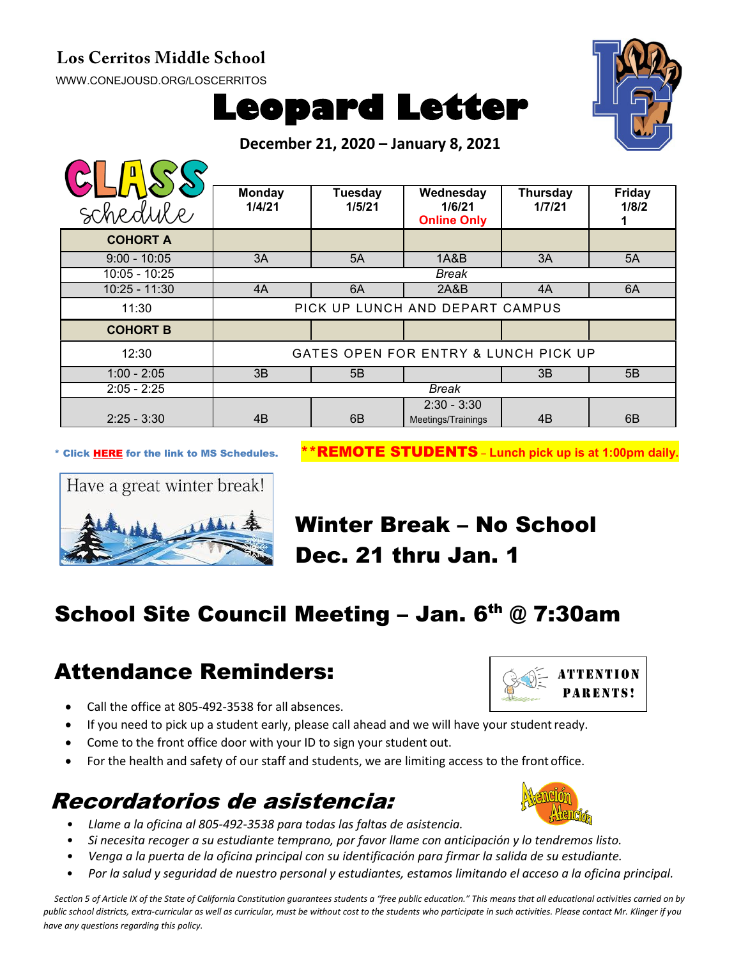#### **Los Cerritos Middle School**

[WWW.CONEJOUSD.ORG/LOSCERRITOS](http://www.conejousd.org/LOSCERRITOS)



**Leopard Letter** 

**December 21, 2020 – January 8, 2021**

| schedule        | <b>Monday</b><br>1/4/21              | <b>Tuesday</b><br>1/5/21 | Wednesday<br>1/6/21<br><b>Online Only</b> | <b>Thursday</b><br>1/7/21 | <b>Friday</b><br>1/8/2 |
|-----------------|--------------------------------------|--------------------------|-------------------------------------------|---------------------------|------------------------|
| <b>COHORT A</b> |                                      |                          |                                           |                           |                        |
| $9:00 - 10:05$  | 3A                                   | 5A                       | <b>1A&amp;B</b>                           | 3A                        | 5A                     |
| $10:05 - 10:25$ | Break                                |                          |                                           |                           |                        |
| $10:25 - 11:30$ | 4A                                   | 6A                       | 2A&B                                      | 4A                        | 6A                     |
| 11:30           | PICK UP LUNCH AND DEPART CAMPUS      |                          |                                           |                           |                        |
| <b>COHORT B</b> |                                      |                          |                                           |                           |                        |
| 12:30           | GATES OPEN FOR ENTRY & LUNCH PICK UP |                          |                                           |                           |                        |
| $1:00 - 2:05$   | 3B                                   | 5B                       |                                           | 3B                        | 5B                     |
| $2:05 - 2:25$   | <b>Break</b>                         |                          |                                           |                           |                        |
|                 |                                      |                          | $2:30 - 3:30$                             |                           |                        |
| $2:25 - 3:30$   | 4B                                   | 6B                       | Meetings/Trainings                        | 4B                        | 6 <sub>B</sub>         |

\* Click [HERE](https://www.conejousd.org/Portals/0/Middle%20School%20Monthly%20Calendar%20_FNLl.pdf?ver=2020-11-04-105638-860) for the link to MS Schedules. \*\*REMOTE STUDENTS – **Lunch pick up is at 1:00pm daily.**



Winter Break – No School Dec. 21 thru Jan. 1

# School Site Council Meeting - Jan.  $6<sup>th</sup>$  @ 7:30am

### Attendance Reminders:



- Call the office at 805-492-3538 for all absences.
- If you need to pick up a student early, please call ahead and we will have your student ready.
- Come to the front office door with your ID to sign your student out.
- For the health and safety of our staff and students, we are limiting access to the front office.

### Recordatorios de asistencia:

- 
- *Llame a la oficina al 805-492-3538 para todas las faltas de asistencia.*
- *Si necesita recoger a su estudiante temprano, por favor llame con anticipación y lo tendremos listo.*
- *Venga a la puerta de la oficina principal con su identificación para firmar la salida de su estudiante.*
- *Por la salud y seguridad de nuestro personal y estudiantes, estamos limitando el acceso a la oficina principal.*

*Section 5 of Article IX of the State of California Constitution guarantees students a "free public education." This means that all educational activities carried on by public school districts, extra-curricular as well as curricular, must be without cost to the students who participate in such activities. Please contact Mr. Klinger if you have any questions regarding this policy.*